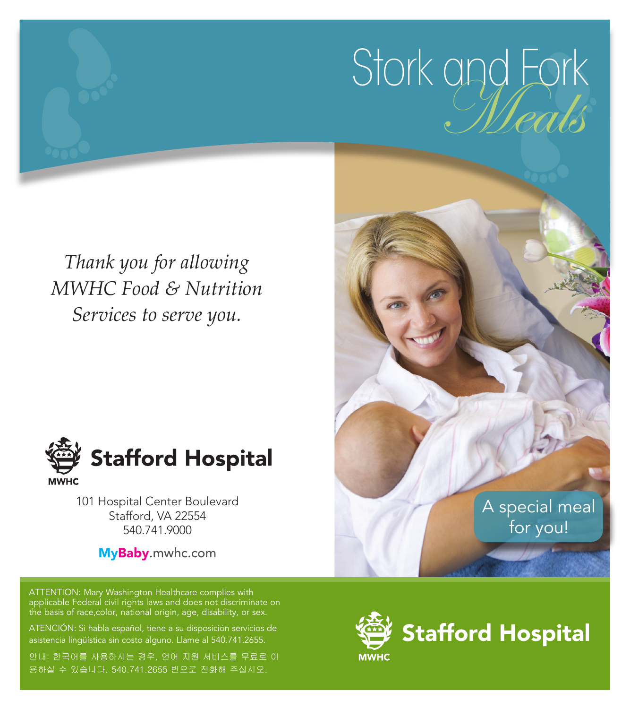# Stork and Fork

*Thank you for allowing MWHC Food & Nutrition Services to serve you.*



101 Hospital Center Boulevard Stafford, VA 22554 540.741.9000

MyBaby.mwhc.com

ATTENTION: Mary Washington Healthcare complies with applicable Federal civil rights laws and does not discriminate on the basis of race,color, national origin, age, disability, or sex.

ATENCIÓN: Si habla español, tiene a su disposición servicios de asistencia lingüística sin costo alguno. Llame al 540.741.2655.

안내: 한국어를 사용하시는 경우, 언어 지원 서비스를 무료로 이 용하실 수 있습니다. 540.741.2655 번으로 전화해 주십시오.